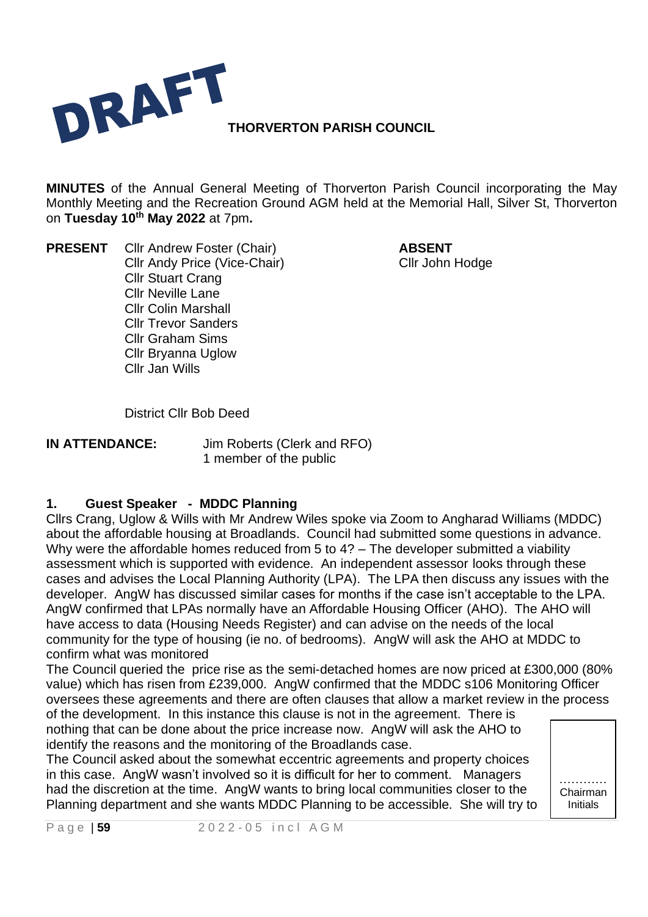

**MINUTES** of the Annual General Meeting of Thorverton Parish Council incorporating the May Monthly Meeting and the Recreation Ground AGM held at the Memorial Hall, Silver St, Thorverton on **Tuesday 10 th May 2022** at 7pm**.**

**PRESENT** Cllr Andrew Foster (Chair) **ABSENT** Cllr Andy Price (Vice-Chair) Cllr John Hodge Cllr Stuart Crang Cllr Neville Lane Cllr Colin Marshall Cllr Trevor Sanders Cllr Graham Sims Cllr Bryanna Uglow Cllr Jan Wills

District Cllr Bob Deed

**IN ATTENDANCE:** Jim Roberts (Clerk and RFO) 1 member of the public

# **1. Guest Speaker - MDDC Planning**

Cllrs Crang, Uglow & Wills with Mr Andrew Wiles spoke via Zoom to Angharad Williams (MDDC) about the affordable housing at Broadlands. Council had submitted some questions in advance. Why were the affordable homes reduced from 5 to 4? – The developer submitted a viability assessment which is supported with evidence. An independent assessor looks through these cases and advises the Local Planning Authority (LPA). The LPA then discuss any issues with the developer. AngW has discussed similar cases for months if the case isn't acceptable to the LPA. AngW confirmed that LPAs normally have an Affordable Housing Officer (AHO). The AHO will have access to data (Housing Needs Register) and can advise on the needs of the local community for the type of housing (ie no. of bedrooms). AngW will ask the AHO at MDDC to confirm what was monitored

The Council queried the price rise as the semi-detached homes are now priced at £300,000 (80% value) which has risen from £239,000. AngW confirmed that the MDDC s106 Monitoring Officer oversees these agreements and there are often clauses that allow a market review in the process of the development. In this instance this clause is not in the agreement. There is

nothing that can be done about the price increase now. AngW will ask the AHO to identify the reasons and the monitoring of the Broadlands case.

The Council asked about the somewhat eccentric agreements and property choices in this case. AngW wasn't involved so it is difficult for her to comment. Managers had the discretion at the time. AngW wants to bring local communities closer to the Planning department and she wants MDDC Planning to be accessible. She will try to

………… Chairman Initials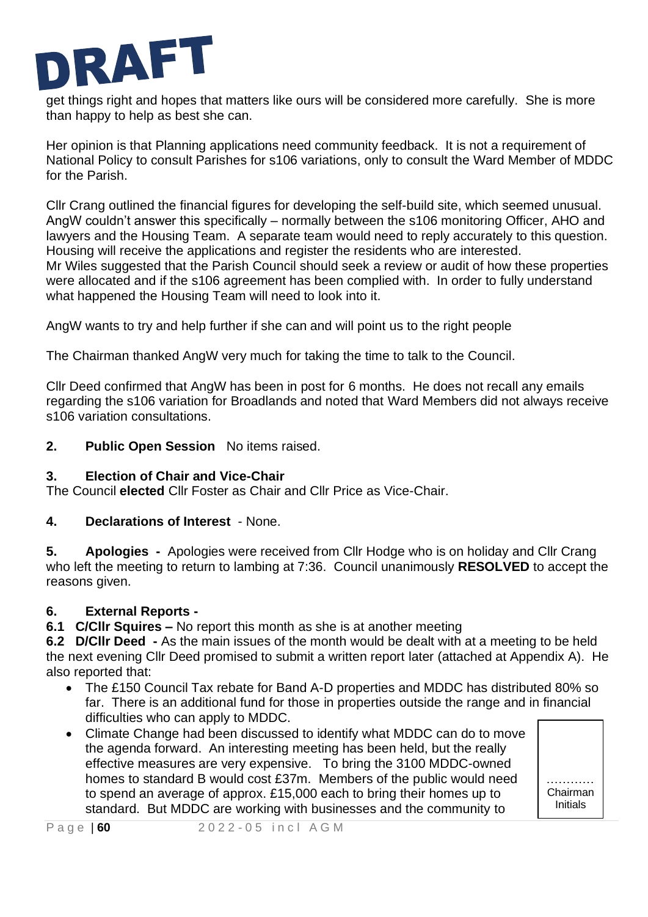

get things right and hopes that matters like ours will be considered more carefully. She is more than happy to help as best she can.

Her opinion is that Planning applications need community feedback. It is not a requirement of National Policy to consult Parishes for s106 variations, only to consult the Ward Member of MDDC for the Parish.

Cllr Crang outlined the financial figures for developing the self-build site, which seemed unusual. AngW couldn't answer this specifically – normally between the s106 monitoring Officer, AHO and lawyers and the Housing Team. A separate team would need to reply accurately to this question. Housing will receive the applications and register the residents who are interested. Mr Wiles suggested that the Parish Council should seek a review or audit of how these properties were allocated and if the s106 agreement has been complied with. In order to fully understand what happened the Housing Team will need to look into it.

AngW wants to try and help further if she can and will point us to the right people

The Chairman thanked AngW very much for taking the time to talk to the Council.

Cllr Deed confirmed that AngW has been in post for 6 months. He does not recall any emails regarding the s106 variation for Broadlands and noted that Ward Members did not always receive s106 variation consultations.

**2. Public Open Session** No items raised.

# **3. Election of Chair and Vice-Chair**

The Council **elected** Cllr Foster as Chair and Cllr Price as Vice-Chair.

# **4. Declarations of Interest** - None.

**5. Apologies -** Apologies were received from Cllr Hodge who is on holiday and Cllr Crang who left the meeting to return to lambing at 7:36. Council unanimously **RESOLVED** to accept the reasons given.

# **6. External Reports -**

**6.1 C/Cllr Squires –** No report this month as she is at another meeting

**6.2 D/Cllr Deed -** As the main issues of the month would be dealt with at a meeting to be held the next evening Cllr Deed promised to submit a written report later (attached at Appendix A). He also reported that:

• The £150 Council Tax rebate for Band A-D properties and MDDC has distributed 80% so far. There is an additional fund for those in properties outside the range and in financial difficulties who can apply to MDDC.

> ………… Chairman **Initials**

• Climate Change had been discussed to identify what MDDC can do to move the agenda forward. An interesting meeting has been held, but the really effective measures are very expensive. To bring the 3100 MDDC-owned homes to standard B would cost £37m. Members of the public would need to spend an average of approx. £15,000 each to bring their homes up to standard. But MDDC are working with businesses and the community to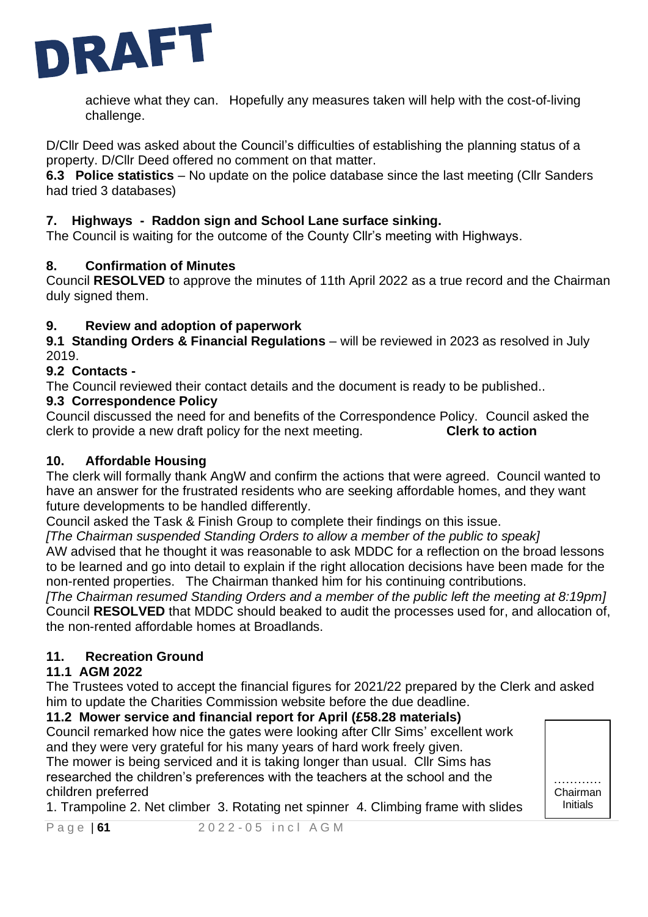

achieve what they can. Hopefully any measures taken will help with the cost-of-living challenge.

D/Cllr Deed was asked about the Council's difficulties of establishing the planning status of a property. D/Cllr Deed offered no comment on that matter.

**6.3 Police statistics** – No update on the police database since the last meeting (Cllr Sanders had tried 3 databases)

### **7. Highways - Raddon sign and School Lane surface sinking.**

The Council is waiting for the outcome of the County Cllr's meeting with Highways.

#### **8. Confirmation of Minutes**

Council **RESOLVED** to approve the minutes of 11th April 2022 as a true record and the Chairman duly signed them.

### **9. Review and adoption of paperwork**

**9.1 Standing Orders & Financial Regulations** – will be reviewed in 2023 as resolved in July 2019.

### **9.2 Contacts -**

The Council reviewed their contact details and the document is ready to be published..

### **9.3 Correspondence Policy**

Council discussed the need for and benefits of the Correspondence Policy. Council asked the clerk to provide a new draft policy for the next meeting. **Clerk to action**

#### **10. Affordable Housing**

The clerk will formally thank AngW and confirm the actions that were agreed. Council wanted to have an answer for the frustrated residents who are seeking affordable homes, and they want future developments to be handled differently.

Council asked the Task & Finish Group to complete their findings on this issue.

*[The Chairman suspended Standing Orders to allow a member of the public to speak]*

AW advised that he thought it was reasonable to ask MDDC for a reflection on the broad lessons to be learned and go into detail to explain if the right allocation decisions have been made for the non-rented properties. The Chairman thanked him for his continuing contributions.

*[The Chairman resumed Standing Orders and a member of the public left the meeting at 8:19pm]* Council **RESOLVED** that MDDC should beaked to audit the processes used for, and allocation of, the non-rented affordable homes at Broadlands.

# **11. Recreation Ground**

# **11.1 AGM 2022**

The Trustees voted to accept the financial figures for 2021/22 prepared by the Clerk and asked him to update the Charities Commission website before the due deadline.

#### **11.2 Mower service and financial report for April (£58.28 materials)**

Council remarked how nice the gates were looking after Cllr Sims' excellent work and they were very grateful for his many years of hard work freely given. The mower is being serviced and it is taking longer than usual. Cllr Sims has researched the children's preferences with the teachers at the school and the children preferred

1. Trampoline 2. Net climber 3. Rotating net spinner 4. Climbing frame with slides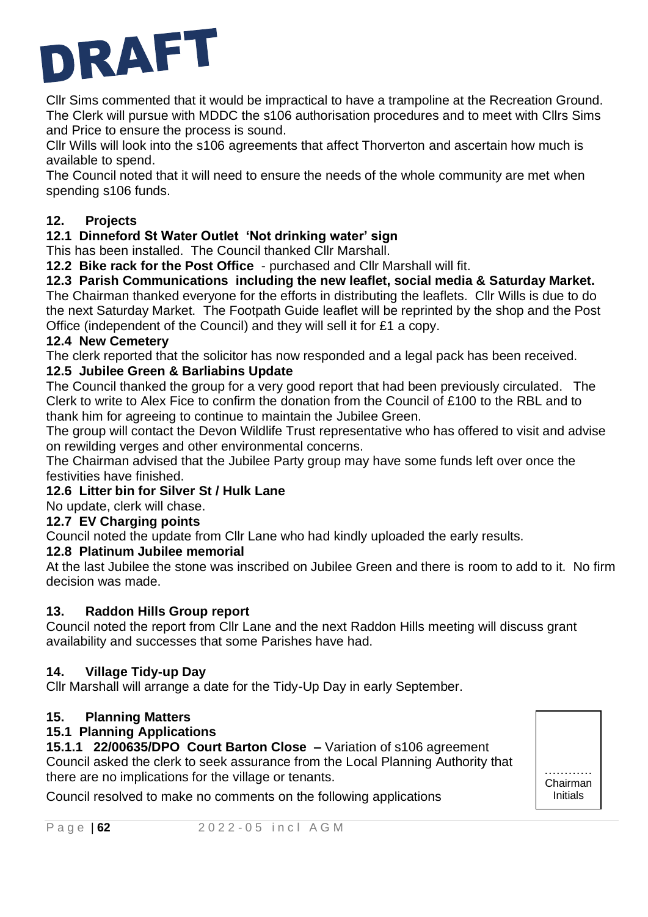

Cllr Sims commented that it would be impractical to have a trampoline at the Recreation Ground. The Clerk will pursue with MDDC the s106 authorisation procedures and to meet with Cllrs Sims and Price to ensure the process is sound.

Cllr Wills will look into the s106 agreements that affect Thorverton and ascertain how much is available to spend.

The Council noted that it will need to ensure the needs of the whole community are met when spending s106 funds.

# **12. Projects**

# **12.1 Dinneford St Water Outlet 'Not drinking water' sign**

This has been installed. The Council thanked Cllr Marshall.

**12.2 Bike rack for the Post Office** - purchased and Cllr Marshall will fit.

**12.3 Parish Communications including the new leaflet, social media & Saturday Market.**  The Chairman thanked everyone for the efforts in distributing the leaflets. Cllr Wills is due to do the next Saturday Market. The Footpath Guide leaflet will be reprinted by the shop and the Post Office (independent of the Council) and they will sell it for £1 a copy.

### **12.4 New Cemetery**

The clerk reported that the solicitor has now responded and a legal pack has been received.

# **12.5 Jubilee Green & Barliabins Update**

The Council thanked the group for a very good report that had been previously circulated. The Clerk to write to Alex Fice to confirm the donation from the Council of £100 to the RBL and to thank him for agreeing to continue to maintain the Jubilee Green.

The group will contact the Devon Wildlife Trust representative who has offered to visit and advise on rewilding verges and other environmental concerns.

The Chairman advised that the Jubilee Party group may have some funds left over once the festivities have finished.

# **12.6 Litter bin for Silver St / Hulk Lane**

No update, clerk will chase.

# **12.7 EV Charging points**

Council noted the update from Cllr Lane who had kindly uploaded the early results.

# **12.8 Platinum Jubilee memorial**

At the last Jubilee the stone was inscribed on Jubilee Green and there is room to add to it. No firm decision was made.

> ………… Chairman Initials

 $\mathbb{R}^n \times \mathbb{R}^n$ 

# **13. Raddon Hills Group report**

Council noted the report from Cllr Lane and the next Raddon Hills meeting will discuss grant availability and successes that some Parishes have had.

# **14. Village Tidy-up Day**

Cllr Marshall will arrange a date for the Tidy-Up Day in early September.

# **15. Planning Matters**

# **15.1 Planning Applications**

**15.1.1 22/00635/DPO Court Barton Close –** Variation of s106 agreement Council asked the clerk to seek assurance from the Local Planning Authority that there are no implications for the village or tenants.

Council resolved to make no comments on the following applications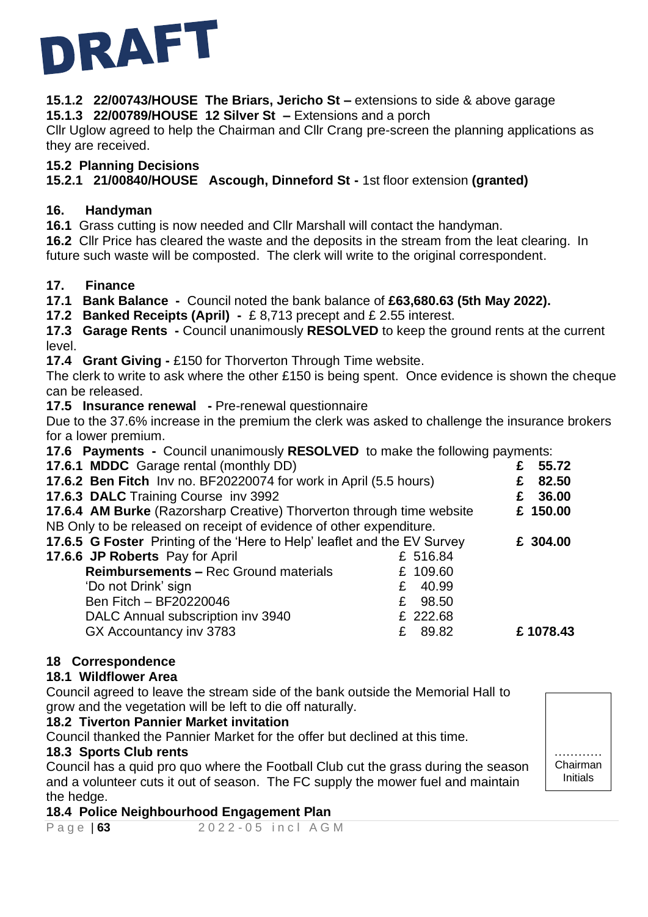

**15.1.2 22/00743/HOUSE The Briars, Jericho St –** extensions to side & above garage **15.1.3 22/00789/HOUSE 12 Silver St –** Extensions and a porch

Cllr Uglow agreed to help the Chairman and Cllr Crang pre-screen the planning applications as they are received.

#### **15.2 Planning Decisions**

**15.2.1 21/00840/HOUSE Ascough, Dinneford St -** 1st floor extension **(granted)**

### **16. Handyman**

**16.1** Grass cutting is now needed and Cllr Marshall will contact the handyman.

**16.2** Cllr Price has cleared the waste and the deposits in the stream from the leat clearing. In future such waste will be composted. The clerk will write to the original correspondent.

### **17. Finance**

**17.1 Bank Balance -** Council noted the bank balance of **£63,680.63 (5th May 2022).**

**17.2 Banked Receipts (April) -** £ 8,713 precept and £ 2.55 interest.

**17.3 Garage Rents -** Council unanimously **RESOLVED** to keep the ground rents at the current level.

**17.4 Grant Giving -** £150 for Thorverton Through Time website.

The clerk to write to ask where the other £150 is being spent. Once evidence is shown the cheque can be released.

**17.5 Insurance renewal -** Pre-renewal questionnaire

Due to the 37.6% increase in the premium the clerk was asked to challenge the insurance brokers for a lower premium.

**17.6 Payments -** Council unanimously **RESOLVED** to make the following payments:

| 17.6.1 MDDC Garage rental (monthly DD)                                   |            | £ | 55.72    |
|--------------------------------------------------------------------------|------------|---|----------|
| 17.6.2 Ben Fitch Inv no. BF20220074 for work in April (5.5 hours)        |            |   | 82.50    |
| 17.6.3 DALC Training Course inv 3992                                     |            | £ | 36.00    |
| 17.6.4 AM Burke (Razorsharp Creative) Thorverton through time website    |            |   | £ 150.00 |
| NB Only to be released on receipt of evidence of other expenditure.      |            |   |          |
| 17.6.5 G Foster Printing of the 'Here to Help' leaflet and the EV Survey |            |   | £ 304.00 |
| 17.6.6 JP Roberts Pay for April                                          | £ 516.84   |   |          |
| <b>Reimbursements - Rec Ground materials</b>                             | £ 109.60   |   |          |
| 'Do not Drink' sign                                                      | 40.99<br>£ |   |          |
| Ben Fitch - BF20220046                                                   | £ 98.50    |   |          |
| DALC Annual subscription inv 3940                                        | £ 222.68   |   |          |
| GX Accountancy inv 3783                                                  | 89.82<br>£ |   | £1078.43 |
|                                                                          |            |   |          |

#### **18 Correspondence**

#### **18.1 Wildflower Area**

Council agreed to leave the stream side of the bank outside the Memorial Hall to grow and the vegetation will be left to die off naturally.

#### **18.2 Tiverton Pannier Market invitation**

Council thanked the Pannier Market for the offer but declined at this time.

#### **18.3 Sports Club rents**

Council has a quid pro quo where the Football Club cut the grass during the season and a volunteer cuts it out of season. The FC supply the mower fuel and maintain the hedge.

………… Chairman Initials

Chair

### **18.4 Police Neighbourhood Engagement Plan**

P a g e | 63 2022 - 05 in c | A G M